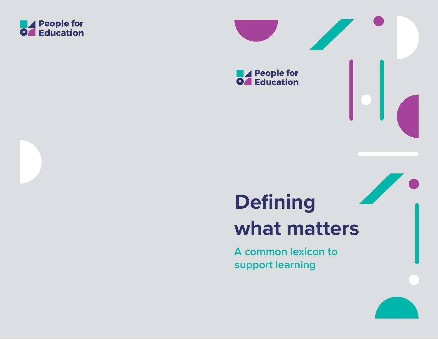



**support learning**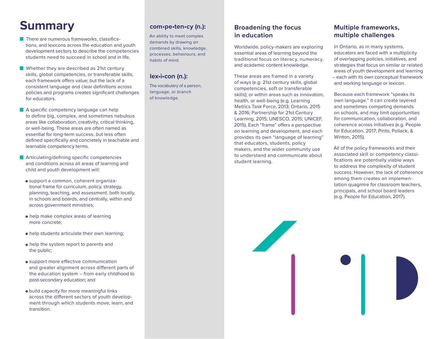# **Summary**

- $\blacksquare$  There are numerous frameworks, classifications, and lexicons across the education and youth development sectors to describe the competencies students need to succeed in school and in life.
- **Whether they are described as 21st century** skills, global competencies, or transferable skills, each framework offers value; but the lack of a consistent language and clear definitions across policies and programs creates significant challenges for educators.
- A specific competency language can help to define big, complex, and sometimes nebulous areas like collaboration, creativity, critical thinking, or well-being. These areas are often named as essential for long-term success, but less often defined specifically and concretely in teachable and learnable competency terms.
- **Articulating/defining specific competencies** and conditions across all areas of learning and child and youth development will:
	- o support a common, coherent organizational frame for curriculum, policy, strategy, planning, teaching, and assessment, both locally, in schools and boards, and centrally, within and across government ministries;
	- o help make complex areas of learning more concrete;
	- o help students articulate their own learning;
	- o help the system report to parents and the public;
	- o support more effective communication and greater alignment across different parts of the education system – from early childhood to post-secondary education; and
	- build capacity for more meaningful links across the different sectors of youth development through which students move, learn, and transition.

## **com•pe•ten•cy (n.):**

An ability to meet complex demands by drawing on combined skills, knowledge, processes, behaviours, and habits of mind.

## **lex•i•con (n.):**

The vocabulary of a person, language, or branch of knowledge.

## **Broadening the focus in education**

Worldwide, policy-makers are exploring essential areas of learning beyond the traditional focus on literacy, numeracy, and academic content knowledge.

These areas are framed in a variety of ways (e.g. 21st century skills, global competencies, soft or transferable skills); or within areas such as innovation, health, or well-being (e.g. Learning Metrics Task Force, 2013; Ontario, 2015 & 2016; Partnership for 21st Century Learning, 2015; UNESCO, 2015; UNICEF, 2015). Each "frame" offers a perspective on learning and development, and each provides its own "language of learning" that educators, students, policy makers, and the wider community use to understand and communicate about student learning.

## **Multiple frameworks, multiple challenges**

In Ontario, as in many systems, educators are faced with a multiplicity of overlapping policies, initiatives, and strategies that focus on similar or related areas of youth development and learning – each with its own conceptual framework and working language or lexicon.

Because each framework "speaks its own language," it can create layered and sometimes competing demands on schools, and may limit opportunities for communication, collaboration, and coherence across initiatives (e.g. People for Education, 2017; Pinto, Pollack, & Winton, 2015).

All of the policy frameworks and their associated skill or competency classifications are potentially viable ways to address the complexity of student success. However, the lack of coherence among them creates an implementation quagmire for classroom teachers, principals, and school board leaders (e.g. People for Education, 2017).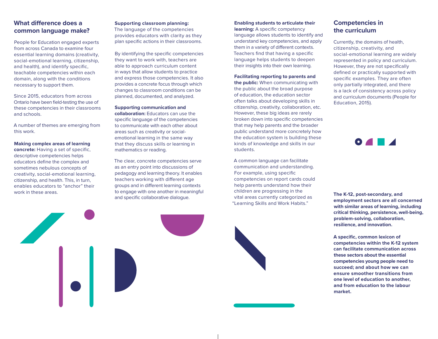## **What difference does a common language make?**

People for Education engaged experts from across Canada to examine four essential learning domains (creativity, social-emotional learning, citizenship, and health), and identify specific, teachable competencies within each domain, along with the conditions necessary to support them.

Since 2015, educators from across Ontario have been field-testing the use of these competencies in their classrooms and schools.

A number of themes are emerging from this work.

#### **Making complex areas of learning**

**concrete:** Having a set of specific, descriptive competencies helps educators define the complex and sometimes nebulous concepts of creativity, social-emotional learning, citizenship, and health. This, in turn, enables educators to "anchor" their work in these areas.

 $\begin{array}{|c|} \hline \textbf{.} \end{array}$ 

#### **Supporting classroom planning:**

The language of the competencies provides educators with clarity as they plan specific actions in their classrooms.

By identifying the specific competencies they want to work with, teachers are able to approach curriculum content in ways that allow students to practice and express those competencies. It also provides a concrete focus through which changes to classroom conditions can be planned, documented, and analyzed.

#### **Supporting communication and**

**collaboration:** Educators can use the specific language of the competencies to communicate with each other about areas such as creativity or socialemotional learning in the same way that they discuss skills or learning in mathematics or reading.

The clear, concrete competencies serve as an entry point into discussions of pedagogy and learning theory. It enables teachers working with different age groups and in different learning contexts to engage with one another in meaningful and specific collaborative dialogue.



**learning:** A specific competency language allows students to identify and understand key competencies, and apply them in a variety of different contexts. Teachers find that having a specific language helps students to deepen their insights into their own learning.

#### **Facilitating reporting to parents and**

**the public:** When communicating with the public about the broad purpose of education, the education sector often talks about developing skills in citizenship, creativity, collaboration, etc. However, these big ideas are rarely broken down into specific competencies that may help parents and the broader public understand more concretely how the education system is building these kinds of knowledge and skills in our students.

A common language can facilitate communication and understanding. For example, using specific competencies on report cards could help parents understand how their children are progressing in the vital areas currently categorized as "Learning Skills and Work Habits."



Currently, the domains of health, citizenship, creativity, and social-emotional learning are widely represented in policy and curriculum. However, they are not specifically defined or practically supported with specific examples. They are often only partially integrated, and there is a lack of consistency across policy and curriculum documents (People for Education, 2015).

 $\bullet$   $\bullet$   $\bullet$ 

**The K-12, post-secondary, and employment sectors are all concerned with similar areas of learning, including critical thinking, persistence, well-being, problem-solving, collaboration, resilience, and innovation.**

**A specific, common lexicon of competencies within the K-12 system can facilitate communication across these sectors about the essential competencies young people need to succeed; and about how we can ensure smoother transitions from one level of education to another, and from education to the labour market.**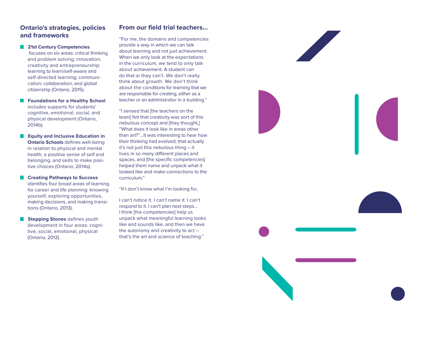## **Ontario's strategies, policies and frameworks**

#### **21st Century Competencies**

 focuses on six areas: critical thinking and problem solving; innovation, creativity and entrepreneurship; learning to learn/self-aware and self-directed learning; communication; collaboration; and global citizenship (Ontario, 2015).

- **Foundations for a Healthy School** includes supports for students' cognitive, emotional, social, and physical development (Ontario, 2014b).
- **Equity and Inclusive Education in Ontario Schools** defines well-being in relation to physical and mental health, a positive sense of self and belonging, and skills to make positive choices (Ontario, 2014a).
- **Creating Pathways to Success** identifies four broad areas of learning for career and life planning: knowing yourself, exploring opportunities, making decisions, and making transitions (Ontario, 2013).
- **Stepping Stones** defines youth development in four areas: cognitive, social, emotional, physical (Ontario, 2012).

## **From our field trial teachers…**

"For me, the domains and competencies provide a way in which we can talk about learning and not just achievement. When we only look at the expectations in the curriculum, we tend to only talk about achievement. A student can do that or they can't. We don't really think about growth. We don't think about the conditions for learning that we are responsible for creating, either as a teacher or an administrator in a building."

"I sensed that [the teachers on the team] felt that creativity was sort of this nebulous concept and [they thought,] "What does it look like in areas other than art?"…It was interesting to hear how their thinking had evolved; that actually it's not just this nebulous thing – it lives in so many different places and spaces, and [the specific competencies] helped them name and unpack what it looked like and make connections to the curriculum."

"If I don't know what I'm looking for,

I can't notice it. I can't name it. I can't respond to it. I can't plan next steps... I think [the competencies] help us unpack what meaningful learning looks like and sounds like, and then we have the autonomy and creativity to act – that's the art and science of teaching."